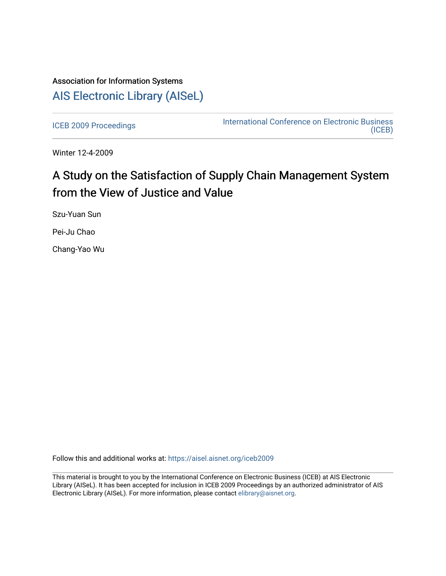# Association for Information Systems [AIS Electronic Library \(AISeL\)](https://aisel.aisnet.org/)

[ICEB 2009 Proceedings](https://aisel.aisnet.org/iceb2009) **International Conference on Electronic Business** [\(ICEB\)](https://aisel.aisnet.org/iceb) 

Winter 12-4-2009

# A Study on the Satisfaction of Supply Chain Management System from the View of Justice and Value

Szu-Yuan Sun

Pei-Ju Chao

Chang-Yao Wu

Follow this and additional works at: [https://aisel.aisnet.org/iceb2009](https://aisel.aisnet.org/iceb2009?utm_source=aisel.aisnet.org%2Ficeb2009%2F136&utm_medium=PDF&utm_campaign=PDFCoverPages)

This material is brought to you by the International Conference on Electronic Business (ICEB) at AIS Electronic Library (AISeL). It has been accepted for inclusion in ICEB 2009 Proceedings by an authorized administrator of AIS Electronic Library (AISeL). For more information, please contact [elibrary@aisnet.org.](mailto:elibrary@aisnet.org%3E)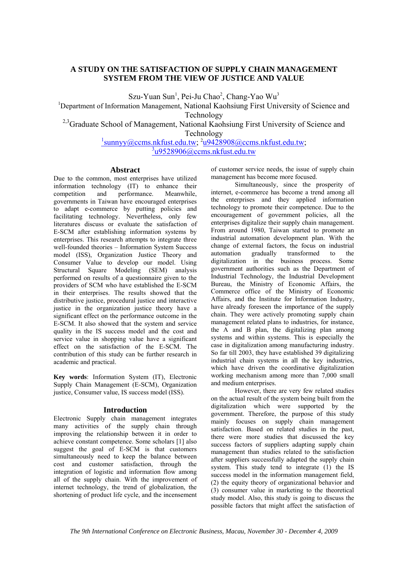# **A STUDY ON THE SATISFACTION OF SUPPLY CHAIN MANAGEMENT SYSTEM FROM THE VIEW OF JUSTICE AND VALUE**

Szu-Yuan Sun<sup>1</sup>, Pei-Ju Chao<sup>2</sup>, Chang-Yao Wu<sup>3</sup>

<sup>1</sup>Department of Information Management, National Kaohsiung First University of Science and Technology

<sup>2,3</sup>Graduate School of Management, National Kaohsiung First University of Science and Technology

<sup>1</sup>sunnyy@ccms.nkfust.edu.tw; <sup>2</sup>u9428908@ccms.nkfust.edu.tw; 3 u9528906@ccms.nkfust.edu.tw

## **Abstract**

Due to the common, most enterprises have utilized information technology (IT) to enhance their competition and performance. Meanwhile, governments in Taiwan have encouraged enterprises to adapt e-commerce by putting policies and facilitating technology. Nevertheless, only few literatures discuss or evaluate the satisfaction of E-SCM after establishing information systems by enterprises. This research attempts to integrate three well-founded theories – Information System Success model (ISS), Organization Justice Theory and Consumer Value to develop our model. Using Structural Square Modeling (SEM) analysis performed on results of a questionnaire given to the providers of SCM who have established the E-SCM in their enterprises. The results showed that the distributive justice, procedural justice and interactive justice in the organization justice theory have a significant effect on the performance outcome in the E-SCM. It also showed that the system and service quality in the IS success model and the cost and service value in shopping value have a significant effect on the satisfaction of the E-SCM. The contribution of this study can be further research in academic and practical.

**Key words**: Information System (IT), Electronic Supply Chain Management (E-SCM), Organization justice, Consumer value, IS success model (ISS).

## **Introduction**

Electronic Supply chain management integrates many activities of the supply chain through improving the relationship between it in order to achieve constant competence. Some scholars [1] also suggest the goal of E-SCM is that customers simultaneously need to keep the balance between cost and customer satisfaction, through the integration of logistic and information flow among all of the supply chain. With the improvement of internet technology, the trend of globalization, the shortening of product life cycle, and the incensement

of customer service needs, the issue of supply chain management has become more focused.

 Simultaneously, since the prosperity of internet, e-commerce has become a trend among all the enterprises and they applied information technology to promote their competence. Due to the encouragement of government policies, all the enterprises digitalize their supply chain management. From around 1980, Taiwan started to promote an industrial automation development plan. With the change of external factors, the focus on industrial automation gradually transformed to the digitalization in the business process. Some government authorities such as the Department of Industrial Technology, the Industrial Development Bureau, the Ministry of Economic Affairs, the Commerce office of the Ministry of Economic Affairs, and the Institute for Information Industry, have already foreseen the importance of the supply chain. They were actively promoting supply chain management related plans to industries, for instance, the A and B plan, the digitalizing plan among systems and within systems. This is especially the case in digitalization among manufacturing industry. So far till 2003, they have established 39 digitalizing industrial chain systems in all the key industries, which have driven the coordinative digitalization working mechanism among more than 7,000 small and medium enterprises.

 However, there are very few related studies on the actual result of the system being built from the digitalization which were supported by the government. Therefore, the purpose of this study mainly focuses on supply chain management satisfaction. Based on related studies in the past, there were more studies that discussed the key success factors of suppliers adapting supply chain management than studies related to the satisfaction after suppliers successfully adapted the supply chain system. This study tend to integrate (1) the IS success model in the information management field, (2) the equity theory of organizational behavior and (3) consumer value in marketing to the theoretical study model. Also, this study is going to discuss the possible factors that might affect the satisfaction of

*The 9th International Conference on Electronic Business, Macau, November 30 - December 4, 2009*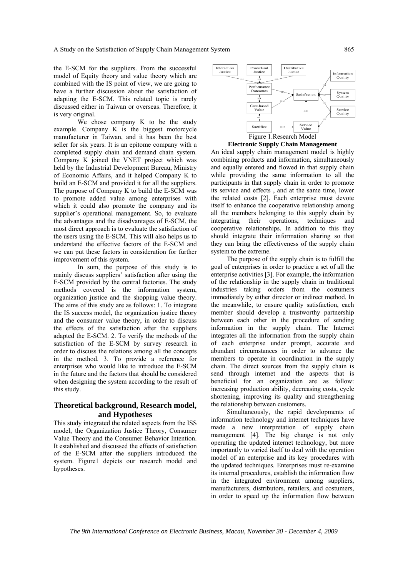the E-SCM for the suppliers. From the successful model of Equity theory and value theory which are combined with the IS point of view, we are going to have a further discussion about the satisfaction of adapting the E-SCM. This related topic is rarely discussed either in Taiwan or overseas. Therefore, it is very original.

 We chose company K to be the study example. Company K is the biggest motorcycle manufacturer in Taiwan, and it has been the best seller for six years. It is an epitome company with a completed supply chain and demand chain system. Company K joined the VNET project which was held by the Industrial Development Bureau, Ministry of Economic Affairs, and it helped Company K to build an E-SCM and provided it for all the suppliers. The purpose of Company K to build the E-SCM was to promote added value among enterprises with which it could also promote the company and its supplier's operational management. So, to evaluate the advantages and the disadvantages of E-SCM, the most direct approach is to evaluate the satisfaction of the users using the E-SCM. This will also helps us to understand the effective factors of the E-SCM and we can put these factors in consideration for further improvement of this system.

 In sum, the purpose of this study is to mainly discuss suppliers' satisfaction after using the E-SCM provided by the central factories. The study methods covered is the information system, organization justice and the shopping value theory. The aims of this study are as follows: 1. To integrate the IS success model, the organization justice theory and the consumer value theory, in order to discuss the effects of the satisfaction after the suppliers adapted the E-SCM. 2. To verify the methods of the satisfaction of the E-SCM by survey research in order to discuss the relations among all the concepts in the method. 3. To provide a reference for enterprises who would like to introduce the E-SCM in the future and the factors that should be considered when designing the system according to the result of this study.

## **Theoretical background, Research model, and Hypotheses**

This study integrated the related aspects from the ISS model, the Organization Justice Theory, Consumer Value Theory and the Consumer Behavior Intention. It established and discussed the effects of satisfaction of the E-SCM after the suppliers introduced the system. Figure1 depicts our research model and hypotheses.





An ideal supply chain management model is highly combining products and information, simultaneously and equally entered and flowed in that supply chain while providing the same information to all the participants in that supply chain in order to promote its service and effects , and at the same time, lower the related costs [2]. Each enterprise must devote itself to enhance the cooperative relationship among all the members belonging to this supply chain by integrating their operations, techniques and cooperative relationships. In addition to this they should integrate their information sharing so that they can bring the effectiveness of the supply chain system to the extreme.

The purpose of the supply chain is to fulfill the goal of enterprises in order to practice a set of all the enterprise activities [3]. For example, the information of the relationship in the supply chain in traditional industries taking orders from the costumers immediately by either director or indirect method. In the meanwhile, to ensure quality satisfaction, each member should develop a trustworthy partnership between each other in the procedure of sending information in the supply chain. The Internet integrates all the information from the supply chain of each enterprise under prompt, accurate and abundant circumstances in order to advance the members to operate in coordination in the supply chain. The direct sources from the supply chain is send through internet and the aspects that is beneficial for an organization are as follow: increasing production ability, decreasing costs, cycle shortening, improving its quality and strengthening the relationship between customers.

Simultaneously, the rapid developments of information technology and internet techniques have made a new interpretation of supply chain management [4]. The big change is not only operating the updated internet technology, but more importantly to varied itself to deal with the operation model of an enterprise and its key procedures with the updated techniques. Enterprises must re-examine its internal procedures, establish the information flow in the integrated environment among suppliers, manufacturers, distributors, retailers, and costumers, in order to speed up the information flow between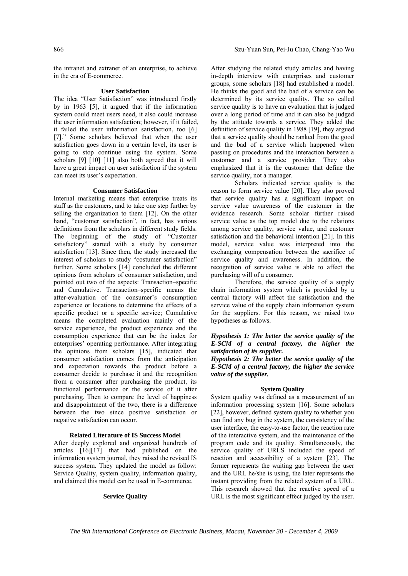the intranet and extranet of an enterprise, to achieve in the era of E-commerce.

#### **User Satisfaction**

The idea "User Satisfaction" was introduced firstly by in 1963 [5], it argued that if the information system could meet users need, it also could increase the user information satisfaction; however, if it failed, it failed the user information satisfaction, too [6] [7]." Some scholars believed that when the user satisfaction goes down in a certain level, its user is going to stop continue using the system. Some scholars [9] [10] [11] also both agreed that it will have a great impact on user satisfaction if the system can meet its user's expectation.

## **Consumer Satisfaction**

Internal marketing means that enterprise treats its staff as the customers, and to take one step further by selling the organization to them [12]. On the other hand, "customer satisfaction", in fact, has various definitions from the scholars in different study fields. The beginning of the study of "Customer satisfactory" started with a study by consumer satisfaction [13]. Since then, the study increased the interest of scholars to study "costumer satisfaction" further. Some scholars [14] concluded the different opinions from scholars of consumer satisfaction, and pointed out two of the aspects: Transaction–specific and Cumulative. Transaction–specific means the after-evaluation of the consumer's consumption experience or locations to determine the effects of a specific product or a specific service; Cumulative means the completed evaluation mainly of the service experience, the product experience and the consumption experience that can be the index for enterprises' operating performance. After integrating the opinions from scholars [15], indicated that consumer satisfaction comes from the anticipation and expectation towards the product before a consumer decide to purchase it and the recognition from a consumer after purchasing the product, its functional performance or the service of it after purchasing. Then to compare the level of happiness and disappointment of the two, there is a difference between the two since positive satisfaction or negative satisfaction can occur.

#### **Related Literature of IS Success Model**

After deeply explored and organized hundreds of articles [16][17] that had published on the information system journal, they raised the revised IS success system. They updated the model as follow: Service Quality, system quality, information quality, and claimed this model can be used in E-commerce.

#### **Service Quality**

After studying the related study articles and having in-depth interview with enterprises and customer groups, some scholars [18] had established a model. He thinks the good and the bad of a service can be determined by its service quality. The so called service quality is to have an evaluation that is judged over a long period of time and it can also be judged by the attitude towards a service. They added the definition of service quality in 1988 [19], they argued that a service quality should be ranked from the good and the bad of a service which happened when passing on procedures and the interaction between a customer and a service provider. They also emphasized that it is the customer that define the service quality, not a manager.

 Scholars indicated service quality is the reason to form service value [20]. They also proved that service quality has a significant impact on service value awareness of the customer in the evidence research. Some scholar further raised service value as the top model due to the relations among service quality, service value, and customer satisfaction and the behavioral intention [21]. In this model, service value was interpreted into the exchanging compensation between the sacrifice of service quality and awareness. In addition, the recognition of service value is able to affect the purchasing will of a consumer.

 Therefore, the service quality of a supply chain information system which is provided by a central factory will affect the satisfaction and the service value of the supply chain information system for the suppliers. For this reason, we raised two hypotheses as follows.

## *Hypothesis 1: The better the service quality of the E-SCM of a central factory, the higher the satisfaction of its supplier.*

*Hypothesis 2: The better the service quality of the E-SCM of a central factory, the higher the service value of the supplier.* 

#### **System Quality**

System quality was defined as a measurement of an information processing system [16]. Some scholars [22], however, defined system quality to whether you can find any bug in the system, the consistency of the user interface, the easy-to-use factor, the reaction rate of the interactive system, and the maintenance of the program code and its quality. Simultaneously, the service quality of URLS included the speed of reaction and accessibility of a system [23]. The former represents the waiting gap between the user and the URL he/she is using, the later represents the instant providing from the related system of a URL. This research showed that the reactive speed of a URL is the most significant effect judged by the user.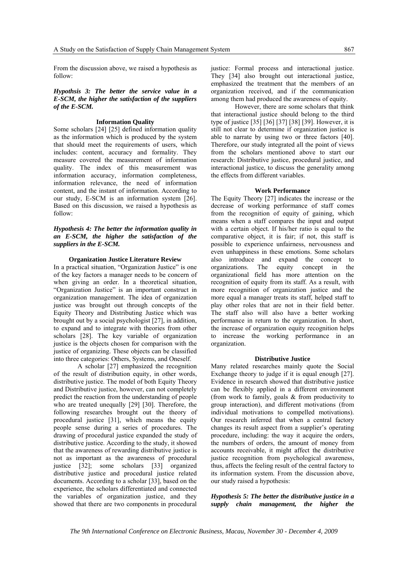From the discussion above, we raised a hypothesis as follow:

## *Hypothsis 3: The better the service value in a E-SCM, the higher the satisfaction of the suppliers of the E-SCM.*

#### **Information Quality**

Some scholars [24] [25] defined information quality as the information which is produced by the system that should meet the requirements of users, which includes: content, accuracy and formality. They measure covered the measurement of information quality. The index of this measurement was information accuracy, information completeness, information relevance, the need of information content, and the instant of information. According to our study, E-SCM is an information system [26]. Based on this discussion, we raised a hypothesis as follow:

## *Hypothesis 4: The better the information quality in an E-SCM, the higher the satisfaction of the suppliers in the E-SCM.*

## **Organization Justice Literature Review**

In a practical situation, "Organization Justice" is one of the key factors a manager needs to be concern of when giving an order. In a theoretical situation, "Organization Justice" is an important construct in organization management. The idea of organization justice was brought out through concepts of the Equity Theory and Distributing Justice which was brought out by a social psychologist [27], in addition, to expand and to integrate with theories from other scholars [28]. The key variable of organization justice is the objects chosen for comparison with the justice of organizing. These objects can be classified into three categories: Others, Systems, and Oneself.

 A scholar [27] emphasized the recognition of the result of distribution equity, in other words, distributive justice. The model of both Equity Theory and Distributive justice, however, can not completely predict the reaction from the understanding of people who are treated unequally [29] [30]. Therefore, the following researches brought out the theory of procedural justice [31], which means the equity people sense during a series of procedures. The drawing of procedural justice expanded the study of distributive justice. According to the study, it showed that the awareness of rewarding distributive justice is not as important as the awareness of procedural justice [32]; some scholars [33] organized distributive justice and procedural justice related documents. According to a scholar [33], based on the experience, the scholars differentiated and connected the variables of organization justice, and they showed that there are two components in procedural

justice: Formal process and interactional justice. They [34] also brought out interactional justice, emphasized the treatment that the members of an organization received, and if the communication among them had produced the awareness of equity.

 However, there are some scholars that think that interactional justice should belong to the third type of justice [35] [36] [37] [38] [39]. However, it is still not clear to determine if organization justice is able to narrate by using two or three factors [40]. Therefore, our study integrated all the point of views from the scholars mentioned above to start our research: Distributive justice, procedural justice, and interactional justice, to discuss the generality among the effects from different variables.

## **Work Performance**

The Equity Theory [27] indicates the increase or the decrease of working performance of staff comes from the recognition of equity of gaining, which means when a staff compares the input and output with a certain object. If his/her ratio is equal to the comparative object, it is fair; if not, this staff is possible to experience unfairness, nervousness and even unhappiness in these emotions. Some scholars also introduce and expand the concept to organizations. The equity concept in the organizational field has more attention on the recognition of equity from its staff. As a result, with more recognition of organization justice and the more equal a manager treats its staff, helped staff to play other roles that are not in their field better. The staff also will also have a better working performance in return to the organization. In short, the increase of organization equity recognition helps to increase the working performance in an organization.

### **Distributive Justice**

Many related researches mainly quote the Social Exchange theory to judge if it is equal enough [27]. Evidence in research showed that distributive justice can be flexibly applied in a different environment (from work to family, goals & from productivity to group interaction), and different motivations (from individual motivations to compelled motivations). Our research inferred that when a central factory changes its result aspect from a supplier's operating procedure, including: the way it acquire the orders, the numbers of orders, the amount of money from accounts receivable, it might affect the distributive justice recognition from psychological awareness, thus, affects the feeling result of the central factory to its information system. From the discussion above, our study raised a hypothesis:

*Hypothesis 5: The better the distributive justice in a supply chain management, the higher the*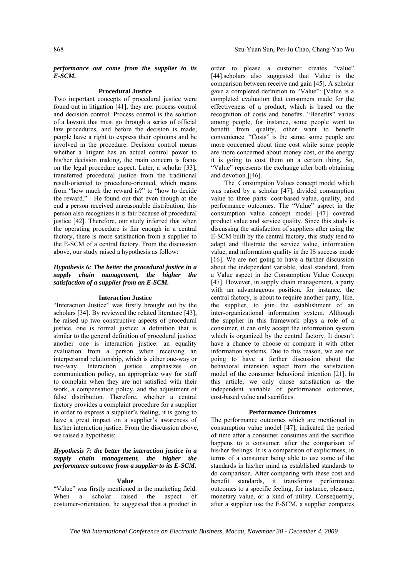*performance out come from the supplier to its E-SCM.* 

#### **Procedural Justice**

Two important concepts of procedural justice were found out in litigation [41], they are: process control and decision control. Process control is the solution of a lawsuit that must go through a series of official law procedures, and before the decision is made, people have a right to express their opinions and be involved in the procedure. Decision control means whether a litigant has an actual control power to his/her decision making, the main concern is focus on the legal procedure aspect. Later, a scholar [33], transferred procedural justice from the traditional result-oriented to procedure-oriented, which means from "how much the reward is?" to "how to decide the reward." He found out that even though at the end a person received unreasonable distribution, this person also recognizes it is fair because of procedural justice [42]. Therefore, our study inferred that when the operating procedure is fair enough in a central factory, there is more satisfaction from a supplier to the E-SCM of a central factory. From the discussion above, our study raised a hypothesis as follow:

## *Hypothesis 6: The better the procedural justice in a supply chain management, the higher the satisfaction of a supplier from an E-SCM.*

## **Interaction Justice**

"Interaction Justice" was firstly brought out by the scholars [34]. By reviewed the related literature [43], he raised up two constructive aspects of procedural justice, one is formal justice: a definition that is similar to the general definition of procedural justice; another one is interaction justice: an equality evaluation from a person when receiving an interpersonal relationship, which is either one-way or two-way. Interaction justice emphasizes on communication policy, an appropriate way for staff to complain when they are not satisfied with their work, a compensation policy, and the adjustment of false distribution. Therefore, whether a central factory provides a complaint procedure for a supplier in order to express a supplier's feeling, it is going to have a great impact on a supplier's awareness of his/her interaction justice. From the discussion above, we raised a hypothesis:

## *Hypothesis 7: the better the interaction justice in a supply chain management, the higher the performance outcome from a supplier to its E-SCM.*

#### **Value**

"Value" was firstly mentioned in the marketing field. When a scholar raised the aspect of costumer-orientation, he suggested that a product in order to please a customer creates "value" [44].scholars also suggested that Value is the comparison between receive and gain [45]. A scholar gave a completed definition to "Value": [Value is a completed evaluation that consumers made for the effectiveness of a product, which is based on the recognition of costs and benefits. "Benefits" varies among people, for instance, some people want to benefit from quality, other want to benefit convenience. "Costs" is the same, some people are more concerned about time cost while some people are more concerned about money cost, or the energy it is going to cost them on a certain thing. So, "Value" represents the exchange after both obtaining and devotion.][46].

The Consumption Values concept model which was raised by a scholar [47], divided consumption value to three parts: cost-based value, quality, and performance outcomes. The "Value" aspect in the consumption value concept model [47] covered product value and service quality. Since this study is discussing the satisfaction of suppliers after using the E-SCM built by the central factory, this study tend to adapt and illustrate the service value, information value, and information quality in the IS success mode [16]. We are not going to have a further discussion about the independent variable, ideal standard, from a Value aspect in the Consumption Value Concept [47]. However, in supply chain management, a party with an advantageous position, for instance, the central factory, is about to require another party, like, the supplier, to join the establishment of an inter-organizational information system. Although the supplier in this framework plays a role of a consumer, it can only accept the information system which is organized by the central factory. It doesn't have a chance to choose or compare it with other information systems. Due to this reason, we are not going to have a further discussion about the behavioral intension aspect from the satisfaction model of the consumer behavioral intention [21]. In this article, we only chose satisfaction as the independent variable of performance outcomes, cost-based value and sacrifices.

#### **Performance Outcomes**

The performance outcomes which are mentioned in consumption value model [47], indicated the period of time after a consumer consumes and the sacrifice happens to a consumer, after the comparison of his/her feelings. It is a comparison of explicitness, in terms of a consumer being able to use some of the standards in his/her mind as established standards to do comparison. After comparing with these cost and benefit standards, it transforms performance outcomes to a specific feeling, for instance, pleasure, monetary value, or a kind of utility. Consequently, after a supplier use the E-SCM, a supplier compares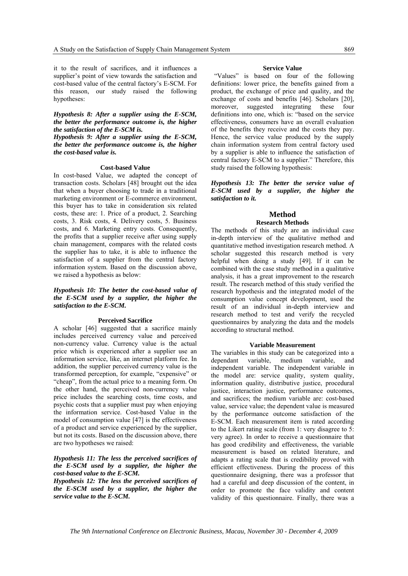it to the result of sacrifices, and it influences a supplier's point of view towards the satisfaction and cost-based value of the central factory's E-SCM. For this reason, our study raised the following hypotheses:

## *Hypothesis 8: After a supplier using the E-SCM, the better the performance outcome is, the higher the satisfaction of the E-SCM is.*

*Hypothesis 9: After a supplier using the E-SCM, the better the performance outcome is, the higher the cost-based value is.* 

## **Cost-based Value**

In cost-based Value, we adapted the concept of transaction costs. Scholars [48] brought out the idea that when a buyer choosing to trade in a traditional marketing environment or E-commerce environment, this buyer has to take in consideration six related costs, these are: 1. Price of a product, 2. Searching costs, 3. Risk costs, 4. Delivery costs, 5. Business costs, and 6. Marketing entry costs. Consequently, the profits that a supplier receive after using supply chain management, compares with the related costs the supplier has to take, it is able to influence the satisfaction of a supplier from the central factory information system. Based on the discussion above, we raised a hypothesis as below:

## *Hypothesis 10: The better the cost-based value of the E-SCM used by a supplier, the higher the satisfaction to the E-SCM.*

#### **Perceived Sacrifice**

A scholar [46] suggested that a sacrifice mainly includes perceived currency value and perceived non-currency value. Currency value is the actual price which is experienced after a supplier use an information service, like, an internet platform fee. In addition, the supplier perceived currency value is the transformed perception, for example, "expensive" or "cheap", from the actual price to a meaning form. On the other hand, the perceived non-currency value price includes the searching costs, time costs, and psychic costs that a supplier must pay when enjoying the information service. Cost-based Value in the model of consumption value [47] is the effectiveness of a product and service experienced by the supplier, but not its costs. Based on the discussion above, there are two hypotheses we raised:

## *Hypothesis 11: The less the perceived sacrifices of the E-SCM used by a supplier, the higher the cost-based value to the E-SCM.*

*Hypothesis 12: The less the perceived sacrifices of the E-SCM used by a supplier, the higher the service value to the E-SCM.* 

#### **Service Value**

 "Values" is based on four of the following definitions: lower price, the benefits gained from a product, the exchange of price and quality, and the exchange of costs and benefits [46]. Scholars [20], moreover, suggested integrating these four definitions into one, which is: "based on the service effectiveness, consumers have an overall evaluation of the benefits they receive and the costs they pay. Hence, the service value produced by the supply chain information system from central factory used by a supplier is able to influence the satisfaction of central factory E-SCM to a supplier." Therefore, this study raised the following hypothesis:

*Hypothesis 13: The better the service value of E-SCM used by a supplier, the higher the satisfaction to it.* 

# **Method**

## **Research Methods**

The methods of this study are an individual case in-depth interview of the qualitative method and quantitative method investigation research method. A scholar suggested this research method is very helpful when doing a study [49]. If it can be combined with the case study method in a qualitative analysis, it has a great improvement to the research result. The research method of this study verified the research hypothesis and the integrated model of the consumption value concept development, used the result of an individual in-depth interview and research method to test and verify the recycled questionnaires by analyzing the data and the models according to structural method.

#### **Variable Measurement**

The variables in this study can be categorized into a dependant variable, medium variable, and independent variable. The independent variable in the model are: service quality, system quality, information quality, distributive justice, procedural justice, interaction justice, performance outcomes, and sacrifices; the medium variable are: cost-based value, service value; the dependent value is measured by the performance outcome satisfaction of the E-SCM. Each measurement item is rated according to the Likert rating scale (from 1: very disagree to 5: very agree). In order to receive a questionnaire that has good credibility and effectiveness, the variable measurement is based on related literature, and adapts a rating scale that is credibility proved with efficient effectiveness. During the process of this questionnaire designing, there was a professor that had a careful and deep discussion of the content, in order to promote the face validity and content validity of this questionnaire. Finally, there was a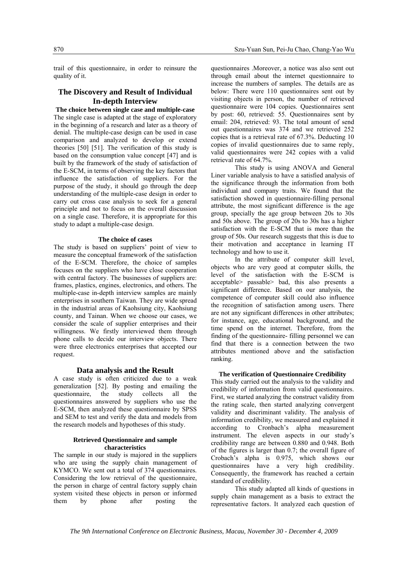trail of this questionnaire, in order to reinsure the quality of it.

## **The Discovery and Result of Individual In-depth Interview**

**The choice between single case and multiple-case** The single case is adapted at the stage of exploratory in the beginning of a research and later as a theory of denial. The multiple-case design can be used in case comparison and analyzed to develop or extend theories [50] [51]. The verification of this study is based on the consumption value concept [47] and is built by the framework of the study of satisfaction of the E-SCM, in terms of observing the key factors that influence the satisfaction of suppliers. For the purpose of the study, it should go through the deep understanding of the multiple-case design in order to carry out cross case analysis to seek for a general principle and not to focus on the overall discussion on a single case. Therefore, it is appropriate for this study to adapt a multiple-case design.

#### **The choice of cases**

The study is based on suppliers' point of view to measure the conceptual framework of the satisfaction of the E-SCM. Therefore, the choice of samples focuses on the suppliers who have close cooperation with central factory. The businesses of suppliers are: frames, plastics, engines, electronics, and others. The multiple-case in-depth interview samples are mainly enterprises in southern Taiwan. They are wide spread in the industrial areas of Kaohsiung city, Kaohsiung county, and Tainan. When we choose our cases, we consider the scale of supplier enterprises and their willingness. We firstly interviewed them through phone calls to decide our interview objects. There were three electronics enterprises that accepted our request.

## **Data analysis and the Result**

A case study is often criticized due to a weak generalization [52]. By posting and emailing the questionnaire, the study collects all the questionnaires answered by suppliers who use the E-SCM, then analyzed these questionnaire by SPSS and SEM to test and verify the data and models from the research models and hypotheses of this study.

#### **Retrieved Questionnaire and sample characteristics**

The sample in our study is majored in the suppliers who are using the supply chain management of KYMCO. We sent out a total of 374 questionnaires. Considering the low retrieval of the questionnaire, the person in charge of central factory supply chain system visited these objects in person or informed them by phone after posting the

questionnaires .Moreover, a notice was also sent out through email about the internet questionnaire to increase the numbers of samples. The details are as below: There were 110 questionnaires sent out by visiting objects in person, the number of retrieved questionnaire were 104 copies. Questionnaires sent by post: 60, retrieved: 55. Questionnaires sent by email: 204, retrieved: 93. The total amount of send out questionnaires was 374 and we retrieved 252 copies that is a retrieval rate of 67.3%. Deducting 10 copies of invalid questionnaires due to same reply, valid questionnaires were 242 copies with a valid retrieval rate of 64.7%.

 This study is using ANOVA and General Liner variable analysis to have a satisfied analysis of the significance through the information from both individual and company traits. We found that the satisfaction showed in questionnaire-filling personal attribute, the most significant difference is the age group, specially the age group between 20s to 30s and 50s above. The group of 20s to 30s has a higher satisfaction with the E-SCM that is more than the group of 50s. Our research suggests that this is due to their motivation and acceptance in learning IT technology and how to use it.

 In the attribute of computer skill level, objects who are very good at computer skills, the level of the satisfaction with the E-SCM is acceptable> passable> bad, this also presents a significant difference. Based on our analysis, the competence of computer skill could also influence the recognition of satisfaction among users. There are not any significant differences in other attributes; for instance, age, educational background, and the time spend on the internet. Therefore, from the finding of the questionnaire- filling personnel we can find that there is a connection between the two attributes mentioned above and the satisfaction ranking.

## **The verification of Questionnaire Credibility**

This study carried out the analysis to the validity and credibility of information from valid questionnaires. First, we started analyzing the construct validity from the rating scale, then started analyzing convergent validity and discriminant validity. The analysis of information credibility, we measured and explained it according to Cronbach's alpha measurement instrument. The eleven aspects in our study's credibility range are between 0.880 and 0.948. Both of the figures is larger than 0.7; the overall figure of Crobach's alpha is 0.975, which shows our questionnaires have a very high credibility. Consequently, the framework has reached a certain standard of credibility.

 This study adapted all kinds of questions in supply chain management as a basis to extract the representative factors. It analyzed each question of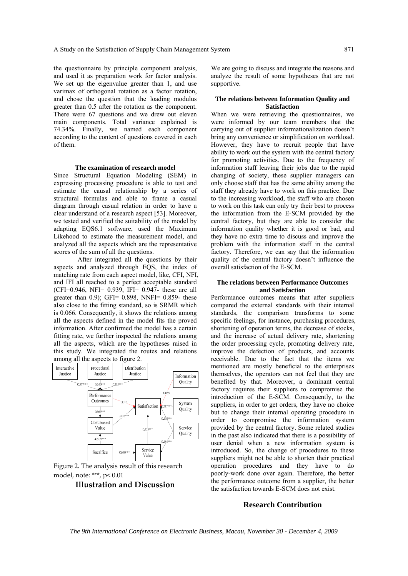the questionnaire by principle component analysis, and used it as preparation work for factor analysis. We set up the eigenvalue greater than 1, and use varimax of orthogonal rotation as a factor rotation, and chose the question that the loading modulus greater than 0.5 after the rotation as the component. There were 67 questions and we drew out eleven main components. Total variance explained is 74.34%. Finally, we named each component according to the content of questions covered in each of them.

## **The examination of research model**

Since Structural Equation Modeling (SEM) in expressing processing procedure is able to test and estimate the causal relationship by a series of structural formulas and able to frame a casual diagram through casual relation in order to have a clear understand of a research aspect [53]. Moreover, we tested and verified the suitability of the model by adapting EQS6.1 software, used the Maximum Likehood to estimate the measurement model, and analyzed all the aspects which are the representative scores of the sum of all the questions.

 After integrated all the questions by their aspects and analyzed through EQS, the index of matching rate from each aspect model, like, CFI, NFI, and IFI all reached to a perfect acceptable standard (CFI=0.946, NFI= 0.939, IFI= 0.947- these are all greater than  $0.9$ ); GFI=  $0.898$ , NNFI=  $0.859$ - these also close to the fitting standard, so is SRMR which is 0.066. Consequently, it shows the relations among all the aspects defined in the model fits the proved information. After confirmed the model has a certain fitting rate, we further inspected the relations among all the aspects, which are the hypotheses raised in this study. We integrated the routes and relations among all the aspects to figure 2.



Figure 2. The analysis result of this research model, note: \*\*\*, p< 0.01

**Illustration and Discussion**

We are going to discuss and integrate the reasons and analyze the result of some hypotheses that are not supportive.

## **The relations between Information Quality and Satisfaction**

When we were retrieving the questionnaires, we were informed by our team members that the carrying out of supplier informationalization doesn't bring any convenience or simplification on workload. However, they have to recruit people that have ability to work out the system with the central factory for promoting activities. Due to the frequency of information staff leaving their jobs due to the rapid changing of society, these supplier managers can only choose staff that has the same ability among the staff they already have to work on this practice. Due to the increasing workload, the staff who are chosen to work on this task can only try their best to process the information from the E-SCM provided by the central factory, but they are able to consider the information quality whether it is good or bad, and they have no extra time to discuss and improve the problem with the information staff in the central factory. Therefore, we can say that the information quality of the central factory doesn't influence the overall satisfaction of the E-SCM.

## **The relations between Performance Outcomes and Satisfaction**

Performance outcomes means that after suppliers compared the external standards with their internal standards, the comparison transforms to some specific feelings, for instance, purchasing procedures, shortening of operation terms, the decrease of stocks, and the increase of actual delivery rate, shortening the order processing cycle, promoting delivery rate, improve the defection of products, and accounts receivable. Due to the fact that the items we mentioned are mostly beneficial to the enterprises themselves, the operators can not feel that they are benefited by that. Moreover, a dominant central factory requires their suppliers to compromise the introduction of the E-SCM. Consequently, to the suppliers, in order to get orders, they have no choice but to change their internal operating procedure in order to compromise the information system provided by the central factory. Some related studies in the past also indicated that there is a possibility of user denial when a new information system is introduced. So, the change of procedures to these suppliers might not be able to shorten their practical operation procedures and they have to do poorly-work done over again. Therefore, the better the performance outcome from a supplier, the better the satisfaction towards E-SCM does not exist.

## **Research Contribution**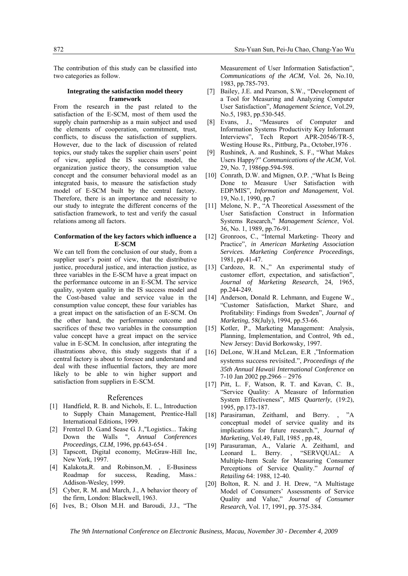The contribution of this study can be classified into two categories as follow.

#### **Integrating the satisfaction model theory framework**

From the research in the past related to the satisfaction of the E-SCM, most of them used the supply chain partnership as a main subject and used the elements of cooperation, commitment, trust, conflicts, to discuss the satisfaction of suppliers. However, due to the lack of discussion of related topics, our study takes the supplier chain users' point of view, applied the IS success model, the organization justice theory, the consumption value concept and the consumer behavioral model as an integrated basis, to measure the satisfaction study model of E-SCM built by the central factory. Therefore, there is an importance and necessity to our study to integrate the different concerns of the satisfaction framework, to test and verify the casual relations among all factors.

## **Conformation of the key factors which influence a E-SCM**

We can tell from the conclusion of our study, from a supplier user's point of view, that the distributive justice, procedural justice, and interaction justice, as three variables in the E-SCM have a great impact on the performance outcome in an E-SCM. The service quality, system quality in the IS success model and the Cost-based value and service value in the consumption value concept, these four variables has a great impact on the satisfaction of an E-SCM. On the other hand, the performance outcome and sacrifices of these two variables in the consumption value concept have a great impact on the service value in E-SCM. In conclusion, after integrating the illustrations above, this study suggests that if a central factory is about to foresee and understand and deal with these influential factors, they are more likely to be able to win higher support and satisfaction from suppliers in E-SCM.

#### References

- [1] Handfield, R. B. and Nichols, E. L., Introduction to Supply Chain Management, Prentice-Hall International Editions, 1999.
- [2] Frentzel D. G.and Sease G. J.,"Logistics... Taking Down the Walls ", *Annual Conferences Proceedings, CLM*, 1996, pp.643-654 .
- [3] Tapscott, Digital economy, McGraw-Hill Inc, New York, 1997.
- [4] Kalakota,R. and Robinson,M. , E-Business Roadmap for success, Reading, Mass.: Addison-Wesley, 1999.
- [5] Cyber, R. M. and March, J., A behavior theory of the firm, London: Blackwell, 1963.
- [6] Ives, B.; Olson M.H. and Baroudi, J.J., "The

Measurement of User Information Satisfaction", *Communications of the ACM*, Vol. 26, No.10, 1983, pp.785-793.

- [7] Bailey, J.E. and Pearson, S.W., "Development of a Tool for Measuring and Analyzing Computer User Satisfaction", *Management Science*, Vol.29, No.5, 1983, pp.530-545.
- [8] Evans, J., "Measures of Computer and Information Systems Productivity Key Informant Interviews", Tech Report APR-20546/TR-5, Westing House Rs., Pittburg, Pa., October,1976 .
- [9] Rushinek, A. and Rushinek, S. F., "What Makes Users Happy?" *Communications of the ACM*, Vol. 29, No. 7, 1986pp.594-598.
- [10] Conrath, D.W. and Mignen, O.P., "What Is Being Done to Measure User Satisfaction with EDP/MIS", *Information and Management*, Vol. 19, No.1, 1990, pp.7
- [11] Melone, N. P., "A Theoretical Assessment of the User Satisfaction Construct in Information Systems Research," *Management Science*, Vol. 36, No. 1, 1989, pp.76-91.
- [12] Gronroos, C., "Internal Marketing- Theory and Practice", *in American Marketing Association Services. Marketing Conference Proceedings*, 1981, pp.41-47.
- [13] Cardozo, R. N.," An experimental study of customer effort, expectation, and satisfaction", *Journal of Marketing Research*, 24, 1965, pp.244-249.
- [14] Anderson, Donald R. Lehmann, and Eugene W., "Customer Satisfaction, Market Share, and Profitability: Findings from Sweden", *Journal of Marketing*, 58(July), 1994, pp.53-66.
- [15] Kotler, P., Marketing Management: Analysis, Planning, Implementation, and Control, 9th ed., New Jersey: David Borkowsky, 1997.
- [16] DeLone, W.H.and McLean, E.R ,"Information systems success revisited.", *Proceedings of the 35th Annual Hawaii International Conference* on 7-10 Jan 2002 pp.2966 – 2976
- [17] Pitt, L. F, Watson, R. T. and Kavan, C. B., "Service Quality: A Measure of Information System Effectiveness", *MIS Quarterly*, (19:2), 1995, pp.173-187.
- [18] Parasiraman, Zeithaml, and Berry., "A conceptual model of service quality and its implications for future research.", *Journal of Marketing*, Vol.49, Fall, 1985 , pp.48,
- [19] Parasuraman, A., Valarie A. Zeithaml, and Leonard L. Berry. , "SERVQUAL: A Multiple-Item Scale for Measuring Consumer Perceptions of Service Quality." *Journal of Retailing* 64: 1988, 12-40.
- [20] Bolton, R. N. and J. H. Drew, "A Multistage Model of Consumers' Assessments of Service Quality and Value," *Journal of Consumer Research*, Vol. 17, 1991, pp. 375-384.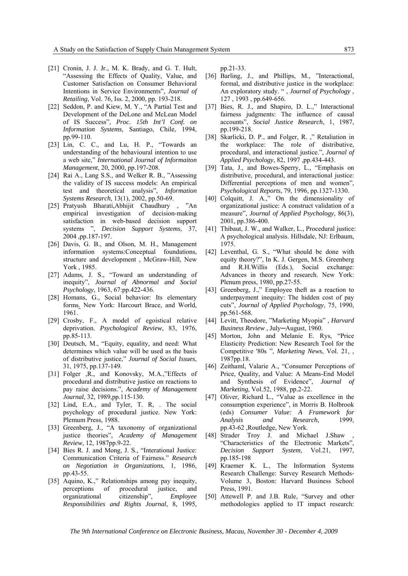- [21] Cronin, J. J. Jr., M. K. Brady, and G. T. Hult, "Assessing the Effects of Quality, Value, and Customer Satisfaction on Consumer Behavioral Intentions in Service Environments", *Journal of Retailing*, Vol. 76, Iss. 2, 2000, pp. 193-218.
- [22] Seddon, P. and Kiew, M. Y., "A Partial Test and Development of the DeLone and McLean Model of IS Success", *Proc. 15th Int'l Conf. on Information Systems*, Santiago, Chile, 1994, pp.99-110.
- [23] Lin, C. C., and Lu, H. P., "Towards an understanding of the behavioural intention to use a web site," *International Journal of Informaiton Management*, 20, 2000, pp.197-208.
- [24] Rai A., Lang S.S., and Welker R. B., "Assessing the validity of IS success models: An empirical test and theoretical analysis", *Information Systems Research*, 13(1), 2002, pp.50-69.
- [25] Pratyush Bharati,Abhijit Chaudhury , "An empirical investigation of decision-making satisfaction in web-based decision support systems ", *Decision Support Systems*, 37, 2004 ,pp.187-197.
- [26] Davis, G. B., and Olson, M. H., Management information systems: Conceptual foundations, structure and development , McGraw-Hill, New York , 1985.
- [27] Adams, J. S., "Toward an understanding of inequity", *Journal of Abnormal and Social Psychology*, 1963, 67:pp.422-436.
- [28] Homans, G., Social behavior: Its elementary forms. New York: Harcourt Brace, and World, 1961.
- [29] Crosby, F., A model of egoistical relative deprivation. *Psychological Review*, 83, 1976, pp.85-113.
- [30] Deutsch, M., "Equity, equality, and need: What determines which value will be used as the basis of distributive justice," *Journal of Social Issues*, 31, 1975, pp.137-149.
- [31] Folger ,R., and Konovsky, M.A.,"Effects of procedural and distributive justice on reactions to pay raise decisions.", *Academy of Management Journal*, 32, 1989,pp.115-130.
- [32] Lind, E.A., and Tyler, T. R, . The social psychology of procedural justice. New York: Plemum Press, 1988.
- [33] Greenberg, J., "A taxonomy of organizational justice theories", *Academy of Management Review*, 12, 1987pp.9-22.
- [34] Bies R. J. and Mong, J. S., "Interational Justice: Communication Criteria of Fairness." *Research on Negotiation in Organizations*, 1, 1986, pp.43-55.
- [35] Aquino, K.," Relationships among pay inequity, perceptions of procedural justice, and organizational citizenship", *Employee Responsibilities and Rights Journal*, 8, 1995,

pp.21-33.

- [36] Barling, J., and Phillips, M., "Interactional, formal, and distributive justice in the workplace: An exploratory study. " , *Journal of Psychology* , 127 , 1993 , pp.649-656.
- [37] Bies, R. J., and Shapiro, D. L.," Interactional fairness judgments: The influence of causal accounts", *Social Justice Research*, 1, 1987, pp.199-218.
- [38] Skarlicki, D. P., and Folger, R. ," Retaliation in the workplace: The role of distributive, procedural, and interactional justice.", *Journal of Applied Psychology*, 82, 1997 ,pp.434-443.
- [39] Tata, J., and Bowes-Sperry, L., "Emphasis on distributive, procedural, and interactional justice: Differential perceptions of men and women", *Psychological Reports*, 79, 1996, pp.1327-1330.
- [40] Colquitt, J. A.," On the dimensionality of organizational justice: A construct validation of a measure", *Journal of Applied Psychology*, 86(3), 2001, pp.386-400.
- [41] Thibaut, J. W., and Walker, L., Procedural iustice: A psychological analysis. Hillsdale, NJ: Erlbaum, 1975.
- [42] Leventhal, G. S., "What should be done with equity theory?", In K. J. Gergen, M.S. Greenberg and R.H.Willis (Eds.), Social exchange: Advances in theory and research. New York: Plenum press, 1980, pp.27-55.
- [43] Greenberg, J.," Employee theft as a reaction to underpayment inequity: The hidden cost of pay cuts", *Journal of Applied Psychology*, 75, 1990, pp.561-568.
- [44] Levitt, Theodore, "Marketing Myopia" , *Harvard Business Review* , July─August, 1960.
- [45] Morton, John and Melanie E. Rys, "Price Elasticity Prediction: New Research Tool for the Competitive '80s ", *Marketing News*, Vol. 21, , 1987pp.18.
- [46] Zeithaml, Valarie A., "Consumer Perceptions of Price, Quality, and Value: A Means-End Model and Synthesis of Evidence", *Journal of Marketing*, Vol.52, 1988, pp.2-22.
- [47] Oliver, Richard L., "Value as excellence in the consumption experience", in Morris B. Holbrook (eds) *Consumer Value: A Framework for Analysis and Research*, 1999, pp.43-62 ,Routledge, New York.
- [48] Strader Troy J. and Michael J.Shaw "Characteristics of the Electronic Markets", *Decision Support System*, Vol.21, 1997, pp.185-198
- [49] Kraemer K. L., The Information Systems Research Challenge: Survey Research Methods-Volume 3, Boston: Harvard Business School Press, 1991.
- [50] Attewell P. and J.B. Rule, "Survey and other methodologies applied to IT impact research: